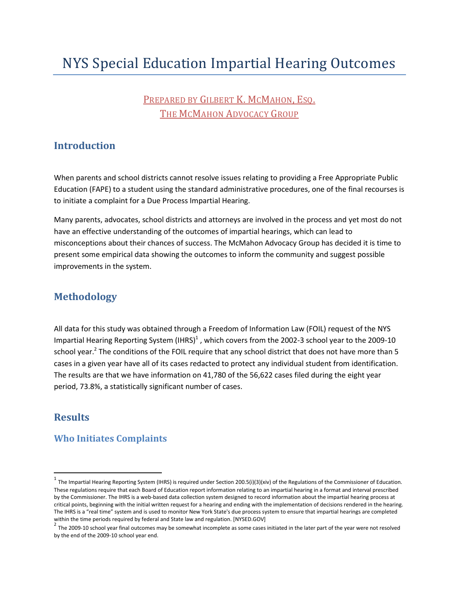# NYS Special Education Impartial Hearing Outcomes

# PREPARED BY GILBERT K. MCMAHON, ESQ. THE MCMAHON ADVOCACY GROUP

### **Introduction**

When parents and school districts cannot resolve issues relating to providing a Free Appropriate Public Education (FAPE) to a student using the standard administrative procedures, one of the final recourses is to initiate a complaint for a Due Process Impartial Hearing.

Many parents, advocates, school districts and attorneys are involved in the process and yet most do not have an effective understanding of the outcomes of impartial hearings, which can lead to misconceptions about their chances of success. The McMahon Advocacy Group has decided it is time to present some empirical data showing the outcomes to inform the community and suggest possible improvements in the system.

# **Methodology**

All data for this study was obtained through a Freedom of Information Law (FOIL) request of the NYS Impartial Hearing Reporting System (IHRS)<sup>1</sup>, which covers from the 2002-3 school year to the 2009-10 school year.<sup>2</sup> The conditions of the FOIL require that any school district that does not have more than 5 cases in a given year have all of its cases redacted to protect any individual student from identification. The results are that we have information on 41,780 of the 56,622 cases filed during the eight year period, 73.8%, a statistically significant number of cases.

### **Results**

 $\overline{\phantom{a}}$ 

### **Who Initiates Complaints**

 $^1$  The Impartial Hearing Reporting System (IHRS) is required under Section 200.5(i)(3)(xiv) of the Regulations of the Commissioner of Education. These regulations require that each Board of Education report information relating to an impartial hearing in a format and interval prescribed by the Commissioner. The IHRS is a web-based data collection system designed to record information about the impartial hearing process at critical points, beginning with the initial written request for a hearing and ending with the implementation of decisions rendered in the hearing. The IHRS is a "real time" system and is used to monitor New York State's due process system to ensure that impartial hearings are completed within the time periods required by federal and State law and regulation. [NYSED.GOV]

 $^2$  The 2009-10 school year final outcomes may be somewhat incomplete as some cases initiated in the later part of the year were not resolved by the end of the 2009-10 school year end.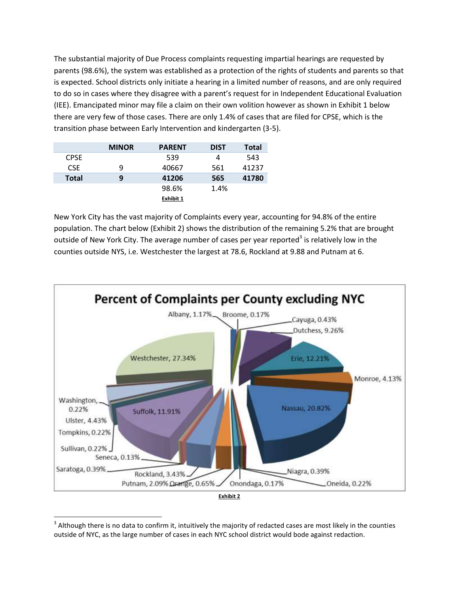The substantial majority of Due Process complaints requesting impartial hearings are requested by parents (98.6%), the system was established as a protection of the rights of students and parents so that is expected. School districts only initiate a hearing in a limited number of reasons, and are only required to do so in cases where they disagree with a parent's request for in Independent Educational Evaluation (IEE). Emancipated minor may file a claim on their own volition however as shown in Exhibit 1 below there are very few of those cases. There are only 1.4% of cases that are filed for CPSE, which is the transition phase between Early Intervention and kindergarten (3-5).

|              | <b>MINOR</b> | <b>PARENT</b>    | <b>DIST</b> | <b>Total</b> |
|--------------|--------------|------------------|-------------|--------------|
| <b>CPSE</b>  |              | 539              | 4           | 543          |
| <b>CSE</b>   | q            | 40667            | 561         | 41237        |
| <b>Total</b> | 9            | 41206            | 565         | 41780        |
|              |              | 98.6%            | 1.4%        |              |
|              |              | <b>Exhibit 1</b> |             |              |

New York City has the vast majority of Complaints every year, accounting for 94.8% of the entire population. The chart below (Exhibit 2) shows the distribution of the remaining 5.2% that are brought outside of New York City. The average number of cases per year reported<sup>3</sup> is relatively low in the counties outside NYS, i.e. Westchester the largest at 78.6, Rockland at 9.88 and Putnam at 6.



l  $^3$  Although there is no data to confirm it, intuitively the majority of redacted cases are most likely in the counties outside of NYC, as the large number of cases in each NYC school district would bode against redaction.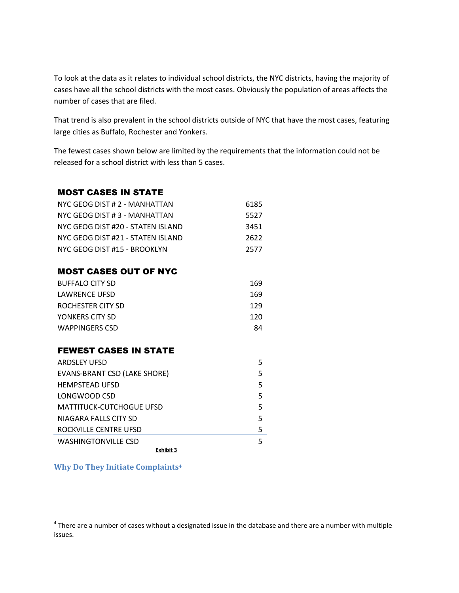To look at the data as it relates to individual school districts, the NYC districts, having the majority of cases have all the school districts with the most cases. Obviously the population of areas affects the number of cases that are filed.

That trend is also prevalent in the school districts outside of NYC that have the most cases, featuring large cities as Buffalo, Rochester and Yonkers.

The fewest cases shown below are limited by the requirements that the information could not be released for a school district with less than 5 cases.

### MOST CASES IN STATE

| NYC GFOG DIST # 2 - MANHATTAN     | 6185 |
|-----------------------------------|------|
| NYC GEOG DIST # 3 - MANHATTAN     | 5527 |
| NYC GEOG DIST #20 - STATEN ISLAND | 3451 |
| NYC GFOG DIST #21 - STATEN ISLAND | 2622 |
| NYC GEOG DIST #15 - BROOKLYN      | 2577 |

### MOST CASES OUT OF NYC

| BUFFALO CITY SD       | 169 |
|-----------------------|-----|
| LAWRENCE UFSD         | 169 |
| ROCHESTER CITY SD     | 129 |
| YONKERS CITY SD       | 120 |
| <b>WAPPINGERS CSD</b> | 84  |

### FEWEST CASES IN STATE

| <b>ARDSLEY UFSD</b>                 |   |
|-------------------------------------|---|
| <b>EVANS-BRANT CSD (LAKE SHORE)</b> | 5 |
| <b>HEMPSTEAD UFSD</b>               | 5 |
| LONGWOOD CSD                        | 5 |
| MATTITUCK-CUTCHOGUE UFSD            |   |
| NIAGARA FALLS CITY SD               | 5 |
| ROCKVILLE CENTRE UFSD               | 5 |
| <b>WASHINGTONVILLE CSD</b>          | 5 |
| Exhibit 3                           |   |

**Why Do They Initiate Complaints<sup>4</sup>**

l

 $^4$  There are a number of cases without a designated issue in the database and there are a number with multiple issues.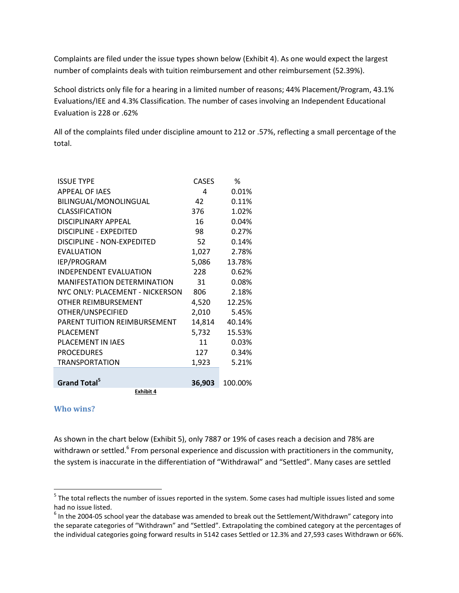Complaints are filed under the issue types shown below (Exhibit 4). As one would expect the largest number of complaints deals with tuition reimbursement and other reimbursement (52.39%).

School districts only file for a hearing in a limited number of reasons; 44% Placement/Program, 43.1% Evaluations/IEE and 4.3% Classification. The number of cases involving an Independent Educational Evaluation is 228 or .62%

All of the complaints filed under discipline amount to 212 or .57%, reflecting a small percentage of the total.

| <b>ISSUE TYPE</b>                   | <b>CASES</b> | %       |
|-------------------------------------|--------------|---------|
| <b>APPEAL OF IAES</b>               | 4            | 0.01%   |
| BILINGUAL/MONOLINGUAL               | 42           | 0.11%   |
| <b>CLASSIFICATION</b>               | 376          | 1.02%   |
| DISCIPLINARY APPFAL                 | 16           | 0.04%   |
| <b>DISCIPLINE - EXPEDITED</b>       | 98           | 0.27%   |
| DISCIPLINE - NON-EXPEDITED          | 52           | 0.14%   |
| <b>EVALUATION</b>                   | 1,027        | 2.78%   |
| IEP/PROGRAM                         | 5,086        | 13.78%  |
| <b>INDEPENDENT EVALUATION</b>       | 228          | 0.62%   |
| <b>MANIFESTATION DETERMINATION</b>  | 31           | 0.08%   |
| NYC ONLY: PLACEMENT - NICKERSON     | 806          | 2.18%   |
| OTHER REIMBURSEMENT                 | 4,520        | 12.25%  |
| OTHER/UNSPECIFIED                   | 2,010        | 5.45%   |
| <b>PARENT TUITION REIMBURSEMENT</b> | 14,814       | 40.14%  |
| <b>PLACEMENT</b>                    | 5,732        | 15.53%  |
| <b>PLACEMENT IN IAES</b>            | 11           | 0.03%   |
| <b>PROCEDURES</b>                   | 127          | 0.34%   |
| <b>TRANSPORTATION</b>               | 1,923        | 5.21%   |
|                                     |              |         |
| Grand Total <sup>5</sup>            | 36,903       | 100.00% |
| Exhibit 4                           |              |         |

#### **Who wins?**

l

As shown in the chart below (Exhibit 5), only 7887 or 19% of cases reach a decision and 78% are withdrawn or settled.<sup>6</sup> From personal experience and discussion with practitioners in the community, the system is inaccurate in the differentiation of "Withdrawal" and "Settled". Many cases are settled

<sup>&</sup>lt;sup>5</sup> The total reflects the number of issues reported in the system. Some cases had multiple issues listed and some had no issue listed.

 $^6$  In the 2004-05 school year the database was amended to break out the Settlement/Withdrawn" category into the separate categories of "Withdrawn" and "Settled". Extrapolating the combined category at the percentages of the individual categories going forward results in 5142 cases Settled or 12.3% and 27,593 cases Withdrawn or 66%.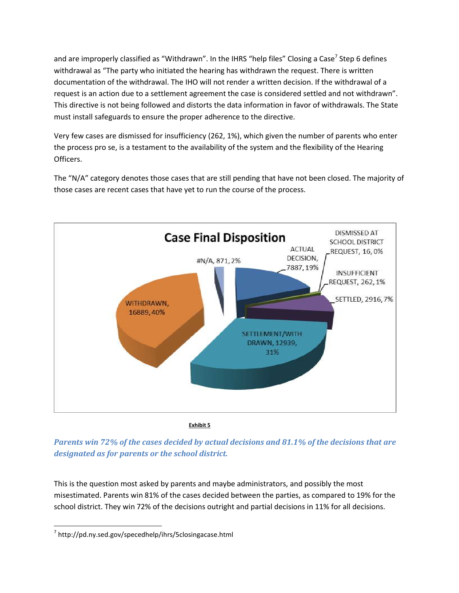and are improperly classified as "Withdrawn". In the IHRS "help files" Closing a Case<sup>7</sup> Step 6 defines withdrawal as "The party who initiated the hearing has withdrawn the request. There is written documentation of the withdrawal. The IHO will not render a written decision. If the withdrawal of a request is an action due to a settlement agreement the case is considered settled and not withdrawn". This directive is not being followed and distorts the data information in favor of withdrawals. The State must install safeguards to ensure the proper adherence to the directive.

Very few cases are dismissed for insufficiency (262, 1%), which given the number of parents who enter the process pro se, is a testament to the availability of the system and the flexibility of the Hearing Officers.

The "N/A" category denotes those cases that are still pending that have not been closed. The majority of those cases are recent cases that have yet to run the course of the process.



**Exhibit 5**

*Parents win 72% of the cases decided by actual decisions and 81.1% of the decisions that are designated as for parents or the school district.*

This is the question most asked by parents and maybe administrators, and possibly the most misestimated. Parents win 81% of the cases decided between the parties, as compared to 19% for the school district. They win 72% of the decisions outright and partial decisions in 11% for all decisions.

 $\overline{\phantom{a}}$ <sup>7</sup> http://pd.ny.sed.gov/specedhelp/ihrs/5closingacase.html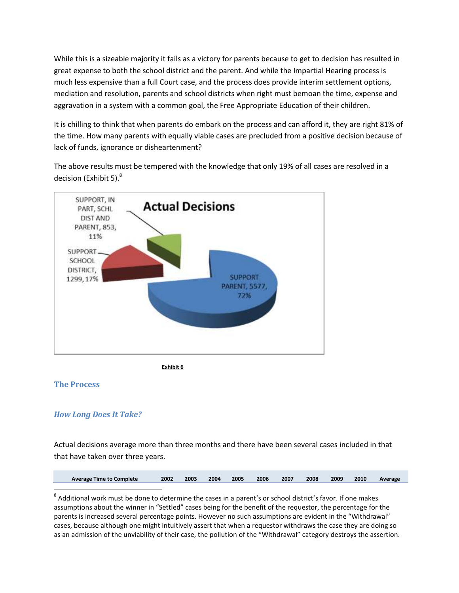While this is a sizeable majority it fails as a victory for parents because to get to decision has resulted in great expense to both the school district and the parent. And while the Impartial Hearing process is much less expensive than a full Court case, and the process does provide interim settlement options, mediation and resolution, parents and school districts when right must bemoan the time, expense and aggravation in a system with a common goal, the Free Appropriate Education of their children.

It is chilling to think that when parents do embark on the process and can afford it, they are right 81% of the time. How many parents with equally viable cases are precluded from a positive decision because of lack of funds, ignorance or disheartenment?

The above results must be tempered with the knowledge that only 19% of all cases are resolved in a decision (Exhibit 5). $^8$ 



**Exhibit 6**

#### **The Process**

l

#### *How Long Does It Take?*

Actual decisions average more than three months and there have been several cases included in that that have taken over three years.

| <b>Average Time to Complete</b> | 2002 | 2003 | 2004 | 2005 | 2006 | 2007 | 2008 | 2009 | 2010 | Average |
|---------------------------------|------|------|------|------|------|------|------|------|------|---------|
|                                 |      |      |      |      |      |      |      |      |      |         |

 $^8$  Additional work must be done to determine the cases in a parent's or school district's favor. If one makes assumptions about the winner in "Settled" cases being for the benefit of the requestor, the percentage for the parents is increased several percentage points. However no such assumptions are evident in the "Withdrawal" cases, because although one might intuitively assert that when a requestor withdraws the case they are doing so as an admission of the unviability of their case, the pollution of the "Withdrawal" category destroys the assertion.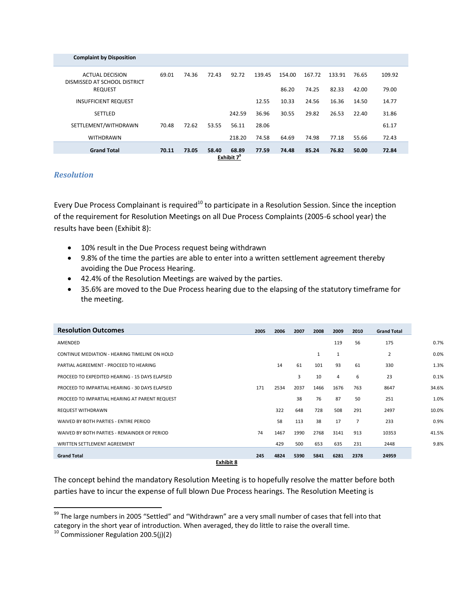| <b>Complaint by Disposition</b>                        |       |       |       |                        |        |        |        |        |       |        |
|--------------------------------------------------------|-------|-------|-------|------------------------|--------|--------|--------|--------|-------|--------|
| <b>ACTUAL DECISION</b><br>DISMISSED AT SCHOOL DISTRICT | 69.01 | 74.36 | 72.43 | 92.72                  | 139.45 | 154.00 | 167.72 | 133.91 | 76.65 | 109.92 |
| <b>REQUEST</b>                                         |       |       |       |                        |        | 86.20  | 74.25  | 82.33  | 42.00 | 79.00  |
| <b>INSUFFICIENT REQUEST</b>                            |       |       |       |                        | 12.55  | 10.33  | 24.56  | 16.36  | 14.50 | 14.77  |
| <b>SETTLED</b>                                         |       |       |       | 242.59                 | 36.96  | 30.55  | 29.82  | 26.53  | 22.40 | 31.86  |
| SETTLEMENT/WITHDRAWN                                   | 70.48 | 72.62 | 53.55 | 56.11                  | 28.06  |        |        |        |       | 61.17  |
| <b>WITHDRAWN</b>                                       |       |       |       | 218.20                 | 74.58  | 64.69  | 74.98  | 77.18  | 55.66 | 72.43  |
| <b>Grand Total</b>                                     | 70.11 | 73.05 | 58.40 | 68.89                  | 77.59  | 74.48  | 85.24  | 76.82  | 50.00 | 72.84  |
|                                                        |       |       |       | Exhibit 7 <sup>9</sup> |        |        |        |        |       |        |

#### *Resolution*

Every Due Process Complainant is required<sup>10</sup> to participate in a Resolution Session. Since the inception of the requirement for Resolution Meetings on all Due Process Complaints (2005-6 school year) the results have been (Exhibit 8):

- 10% result in the Due Process request being withdrawn
- 9.8% of the time the parties are able to enter into a written settlement agreement thereby avoiding the Due Process Hearing.
- 42.4% of the Resolution Meetings are waived by the parties.
- 35.6% are moved to the Due Process hearing due to the elapsing of the statutory timeframe for the meeting.

| <b>Resolution Outcomes</b>                     | 2005      | 2006 | 2007 | 2008 | 2009 | 2010           | <b>Grand Total</b> |       |
|------------------------------------------------|-----------|------|------|------|------|----------------|--------------------|-------|
| AMENDED                                        |           |      |      |      | 119  | 56             | 175                | 0.7%  |
| CONTINUE MEDIATION - HEARING TIMELINE ON HOLD  |           |      |      | 1    | 1    |                | 2                  | 0.0%  |
| PARTIAL AGREEMENT - PROCEED TO HEARING         |           | 14   | 61   | 101  | 93   | 61             | 330                | 1.3%  |
| PROCEED TO EXPEDITED HEARING - 15 DAYS ELAPSED |           |      | 3    | 10   | 4    | 6              | 23                 | 0.1%  |
| PROCEED TO IMPARTIAL HEARING - 30 DAYS ELAPSED | 171       | 2534 | 2037 | 1466 | 1676 | 763            | 8647               | 34.6% |
| PROCEED TO IMPARTIAL HEARING AT PARENT REQUEST |           |      | 38   | 76   | 87   | 50             | 251                | 1.0%  |
| REQUEST WITHDRAWN                              |           | 322  | 648  | 728  | 508  | 291            | 2497               | 10.0% |
| WAIVED BY BOTH PARTIES - ENTIRE PERIOD         |           | 58   | 113  | 38   | 17   | $\overline{7}$ | 233                | 0.9%  |
| WAIVED BY BOTH PARTIES - REMAINDER OF PERIOD   | 74        | 1467 | 1990 | 2768 | 3141 | 913            | 10353              | 41.5% |
| WRITTEN SETTLEMENT AGREEMENT                   |           | 429  | 500  | 653  | 635  | 231            | 2448               | 9.8%  |
| <b>Grand Total</b>                             | 245       | 4824 | 5390 | 5841 | 6281 | 2378           | 24959              |       |
|                                                | Exhibit 8 |      |      |      |      |                |                    |       |

The concept behind the mandatory Resolution Meeting is to hopefully resolve the matter before both parties have to incur the expense of full blown Due Process hearings. The Resolution Meeting is

 99 The large numbers in 2005 "Settled" and "Withdrawn" are a very small number of cases that fell into that category in the short year of introduction. When averaged, they do little to raise the overall time.

<sup>10</sup> Commissioner Regulation 200.5(j)(2)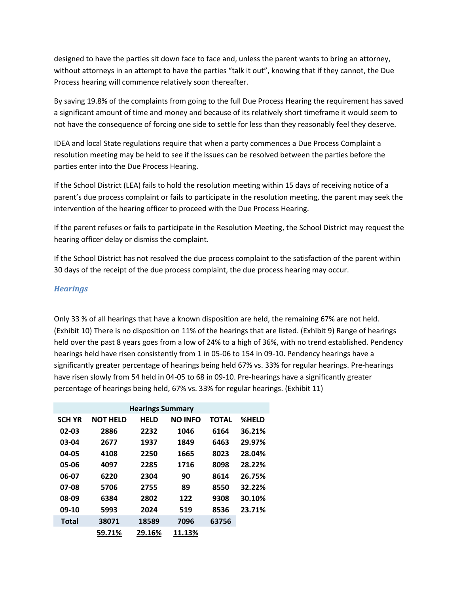designed to have the parties sit down face to face and, unless the parent wants to bring an attorney, without attorneys in an attempt to have the parties "talk it out", knowing that if they cannot, the Due Process hearing will commence relatively soon thereafter.

By saving 19.8% of the complaints from going to the full Due Process Hearing the requirement has saved a significant amount of time and money and because of its relatively short timeframe it would seem to not have the consequence of forcing one side to settle for less than they reasonably feel they deserve.

IDEA and local State regulations require that when a party commences a Due Process Complaint a resolution meeting may be held to see if the issues can be resolved between the parties before the parties enter into the Due Process Hearing.

If the School District (LEA) fails to hold the resolution meeting within 15 days of receiving notice of a parent's due process complaint or fails to participate in the resolution meeting, the parent may seek the intervention of the hearing officer to proceed with the Due Process Hearing.

If the parent refuses or fails to participate in the Resolution Meeting, the School District may request the hearing officer delay or dismiss the complaint.

If the School District has not resolved the due process complaint to the satisfaction of the parent within 30 days of the receipt of the due process complaint, the due process hearing may occur.

#### *Hearings*

Only 33 % of all hearings that have a known disposition are held, the remaining 67% are not held. (Exhibit 10) There is no disposition on 11% of the hearings that are listed. (Exhibit 9) Range of hearings held over the past 8 years goes from a low of 24% to a high of 36%, with no trend established. Pendency hearings held have risen consistently from 1 in 05-06 to 154 in 09-10. Pendency hearings have a significantly greater percentage of hearings being held 67% vs. 33% for regular hearings. Pre-hearings have risen slowly from 54 held in 04-05 to 68 in 09-10. Pre-hearings have a significantly greater percentage of hearings being held, 67% vs. 33% for regular hearings. (Exhibit 11)

| <b>Hearings Summary</b> |                 |             |                |       |              |  |  |  |  |
|-------------------------|-----------------|-------------|----------------|-------|--------------|--|--|--|--|
| <b>SCH YR</b>           | <b>NOT HELD</b> | <b>HELD</b> | <b>NO INFO</b> | TOTAL | <b>%HELD</b> |  |  |  |  |
| $02 - 03$               | 2886            | 2232        | 1046           | 6164  | 36.21%       |  |  |  |  |
| 03-04                   | 2677            | 1937        | 1849           | 6463  | 29.97%       |  |  |  |  |
| 04-05                   | 4108            | 2250        | 1665           | 8023  | 28.04%       |  |  |  |  |
| 05-06                   | 4097            | 2285        | 1716           | 8098  | 28.22%       |  |  |  |  |
| 06-07                   | 6220            | 2304        | 90             | 8614  | 26.75%       |  |  |  |  |
| 07-08                   | 5706            | 2755        | 89             | 8550  | 32.22%       |  |  |  |  |
| 08-09                   | 6384            | 2802        | 122            | 9308  | 30.10%       |  |  |  |  |
| 09-10                   | 5993            | 2024        | 519            | 8536  | 23.71%       |  |  |  |  |
| <b>Total</b>            | 38071           | 18589       | 7096           | 63756 |              |  |  |  |  |
|                         | 59.71%          | 29.16%      | 11.13%         |       |              |  |  |  |  |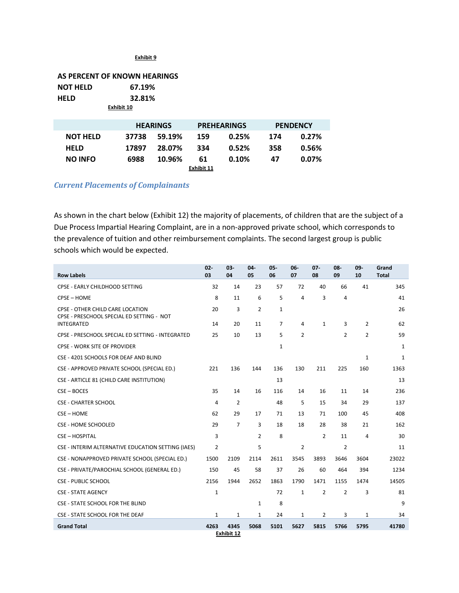#### **Exhibit 9**

# **AS PERCENT OF KNOWN HEARINGS**

|                 | Exhibit 10 |  |  |  |  |  |
|-----------------|------------|--|--|--|--|--|
| <b>HELD</b>     | 32.81%     |  |  |  |  |  |
| <b>NOT HELD</b> | 67.19%     |  |  |  |  |  |

|                 |       | <b>HEARINGS</b> |            | <b>PREHEARINGS</b> | <b>PENDENCY</b> |          |  |
|-----------------|-------|-----------------|------------|--------------------|-----------------|----------|--|
| <b>NOT HELD</b> | 37738 | 59.19%          | 159        | 0.25%              | 174             | 0.27%    |  |
| <b>HELD</b>     | 17897 | 28.07%          | 334        | 0.52%              | 358             | 0.56%    |  |
| <b>NO INFO</b>  | 6988  | 10.96%          | 61         | 0.10%              | 47              | $0.07\%$ |  |
|                 |       |                 | Exhibit 11 |                    |                 |          |  |

#### *Current Placements of Complainants*

As shown in the chart below (Exhibit 12) the majority of placements, of children that are the subject of a Due Process Impartial Hearing Complaint, are in a non-approved private school, which corresponds to the prevalence of tuition and other reimbursement complaints. The second largest group is public schools which would be expected.

| <b>Row Labels</b>                                                             | $02 -$<br>03   | 03-<br>04          | $04 -$<br>05   | $05 -$<br>06 | 06-<br>07      | $07 -$<br>08   | 08-<br>09      | 09-<br>10      | Grand<br><b>Total</b> |
|-------------------------------------------------------------------------------|----------------|--------------------|----------------|--------------|----------------|----------------|----------------|----------------|-----------------------|
| CPSE - EARLY CHILDHOOD SETTING                                                | 32             | 14                 | 23             | 57           | 72             | 40             | 66             | 41             | 345                   |
| CPSE-HOME                                                                     | 8              | 11                 | 6              | 5            | $\overline{4}$ | 3              | 4              |                | 41                    |
| CPSE - OTHER CHILD CARE LOCATION<br>CPSE - PRESCHOOL SPECIAL ED SETTING - NOT | 20             | 3                  | $\overline{2}$ | $\mathbf{1}$ |                |                |                |                | 26                    |
| <b>INTEGRATED</b>                                                             | 14             | 20                 | 11             | 7            | 4              | $\mathbf{1}$   | 3              | $\overline{2}$ | 62                    |
| CPSE - PRESCHOOL SPECIAL ED SETTING - INTEGRATED                              | 25             | 10                 | 13             | 5            | 2              |                | $\overline{2}$ | $\overline{2}$ | 59                    |
| <b>CPSE - WORK SITE OF PROVIDER</b>                                           |                |                    |                | $\mathbf{1}$ |                |                |                |                | 1                     |
| CSE - 4201 SCHOOLS FOR DEAF AND BLIND                                         |                |                    |                |              |                |                |                | $\mathbf{1}$   | 1                     |
| CSE - APPROVED PRIVATE SCHOOL (SPECIAL ED.)                                   | 221            | 136                | 144            | 136          | 130            | 211            | 225            | 160            | 1363                  |
| CSE - ARTICLE 81 (CHILD CARE INSTITUTION)                                     |                |                    |                | 13           |                |                |                |                | 13                    |
| CSE-BOCES                                                                     | 35             | 14                 | 16             | 116          | 14             | 16             | 11             | 14             | 236                   |
| <b>CSE - CHARTER SCHOOL</b>                                                   | 4              | 2                  |                | 48           | 5              | 15             | 34             | 29             | 137                   |
| CSE-HOME                                                                      | 62             | 29                 | 17             | 71           | 13             | 71             | 100            | 45             | 408                   |
| <b>CSE - HOME SCHOOLED</b>                                                    | 29             | $\overline{7}$     | 3              | 18           | 18             | 28             | 38             | 21             | 162                   |
| <b>CSE-HOSPITAL</b>                                                           | 3              |                    | $\overline{2}$ | 8            |                | $\overline{2}$ | 11             | 4              | 30                    |
| CSE - INTERIM ALTERNATIVE EDUCATION SETTING (IAES)                            | $\overline{2}$ |                    | 5              |              | $\overline{2}$ |                | $\overline{2}$ |                | 11                    |
| CSE - NONAPPROVED PRIVATE SCHOOL (SPECIAL ED.)                                | 1500           | 2109               | 2114           | 2611         | 3545           | 3893           | 3646           | 3604           | 23022                 |
| CSE - PRIVATE/PAROCHIAL SCHOOL (GENERAL ED.)                                  | 150            | 45                 | 58             | 37           | 26             | 60             | 464            | 394            | 1234                  |
| <b>CSE - PUBLIC SCHOOL</b>                                                    | 2156           | 1944               | 2652           | 1863         | 1790           | 1471           | 1155           | 1474           | 14505                 |
| <b>CSE - STATE AGENCY</b>                                                     | 1              |                    |                | 72           | 1              | $\overline{2}$ | 2              | 3              | 81                    |
| CSE - STATE SCHOOL FOR THE BLIND                                              |                |                    | $\mathbf{1}$   | 8            |                |                |                |                | 9                     |
| CSE - STATE SCHOOL FOR THE DEAF                                               | 1              | 1                  | 1              | 24           | 1              | 2              | 3              | 1              | 34                    |
| <b>Grand Total</b>                                                            | 4263           | 4345<br>Evhihit 17 | 5068           | 5101         | 5627           | 5815           | 5766           | 5795           | 41780                 |

**Exhibit 12**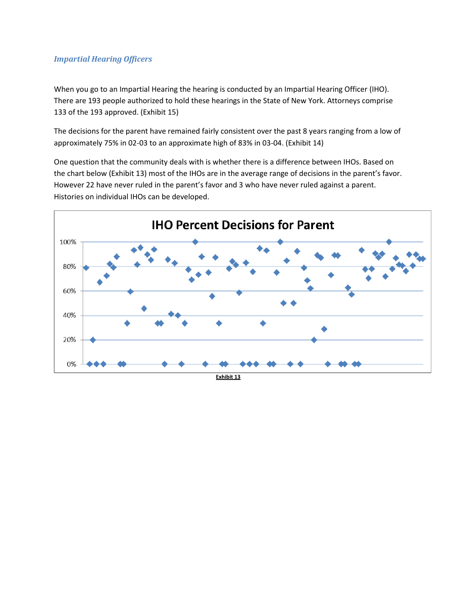#### *Impartial Hearing Officers*

When you go to an Impartial Hearing the hearing is conducted by an Impartial Hearing Officer (IHO). There are 193 people authorized to hold these hearings in the State of New York. Attorneys comprise 133 of the 193 approved. (Exhibit 15)

The decisions for the parent have remained fairly consistent over the past 8 years ranging from a low of approximately 75% in 02-03 to an approximate high of 83% in 03-04. (Exhibit 14)

One question that the community deals with is whether there is a difference between IHOs. Based on the chart below (Exhibit 13) most of the IHOs are in the average range of decisions in the parent's favor. However 22 have never ruled in the parent's favor and 3 who have never ruled against a parent. Histories on individual IHOs can be developed.

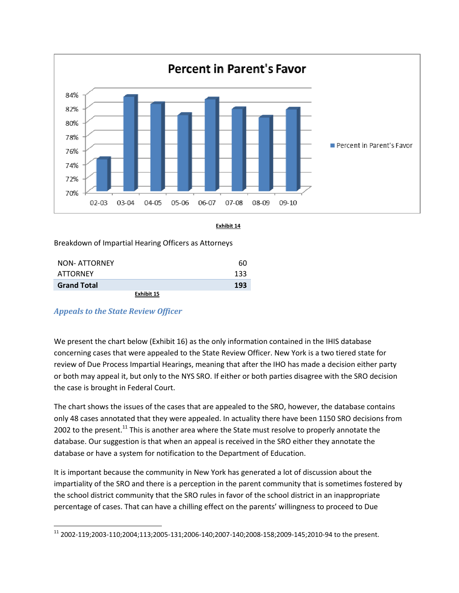

```
Exhibit 14
```
Breakdown of Impartial Hearing Officers as Attorneys

| <b>NON- ATTORNEY</b> | 60  |
|----------------------|-----|
| <b>ATTORNEY</b>      | 133 |
| <b>Grand Total</b>   | 193 |
| Exhibit 15           |     |

### *Appeals to the State Review Officer*

 $\overline{\phantom{a}}$ 

We present the chart below (Exhibit 16) as the only information contained in the IHIS database concerning cases that were appealed to the State Review Officer. New York is a two tiered state for review of Due Process Impartial Hearings, meaning that after the IHO has made a decision either party or both may appeal it, but only to the NYS SRO. If either or both parties disagree with the SRO decision the case is brought in Federal Court.

The chart shows the issues of the cases that are appealed to the SRO, however, the database contains only 48 cases annotated that they were appealed. In actuality there have been 1150 SRO decisions from 2002 to the present.<sup>11</sup> This is another area where the State must resolve to properly annotate the database. Our suggestion is that when an appeal is received in the SRO either they annotate the database or have a system for notification to the Department of Education.

It is important because the community in New York has generated a lot of discussion about the impartiality of the SRO and there is a perception in the parent community that is sometimes fostered by the school district community that the SRO rules in favor of the school district in an inappropriate percentage of cases. That can have a chilling effect on the parents' willingness to proceed to Due

<sup>11</sup> 2002-119;2003-110;2004;113;2005-131;2006-140;2007-140;2008-158;2009-145;2010-94 to the present.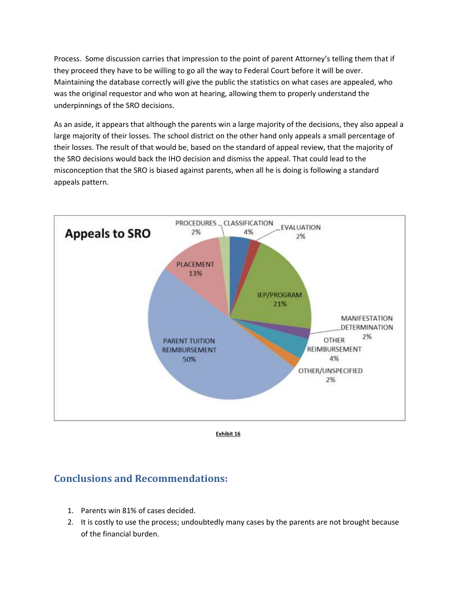Process. Some discussion carries that impression to the point of parent Attorney's telling them that if they proceed they have to be willing to go all the way to Federal Court before it will be over. Maintaining the database correctly will give the public the statistics on what cases are appealed, who was the original requestor and who won at hearing, allowing them to properly understand the underpinnings of the SRO decisions.

As an aside, it appears that although the parents win a large majority of the decisions, they also appeal a large majority of their losses. The school district on the other hand only appeals a small percentage of their losses. The result of that would be, based on the standard of appeal review, that the majority of the SRO decisions would back the IHO decision and dismiss the appeal. That could lead to the misconception that the SRO is biased against parents, when all he is doing is following a standard appeals pattern.



**Exhibit 16**

# **Conclusions and Recommendations:**

- 1. Parents win 81% of cases decided.
- 2. It is costly to use the process; undoubtedly many cases by the parents are not brought because of the financial burden.